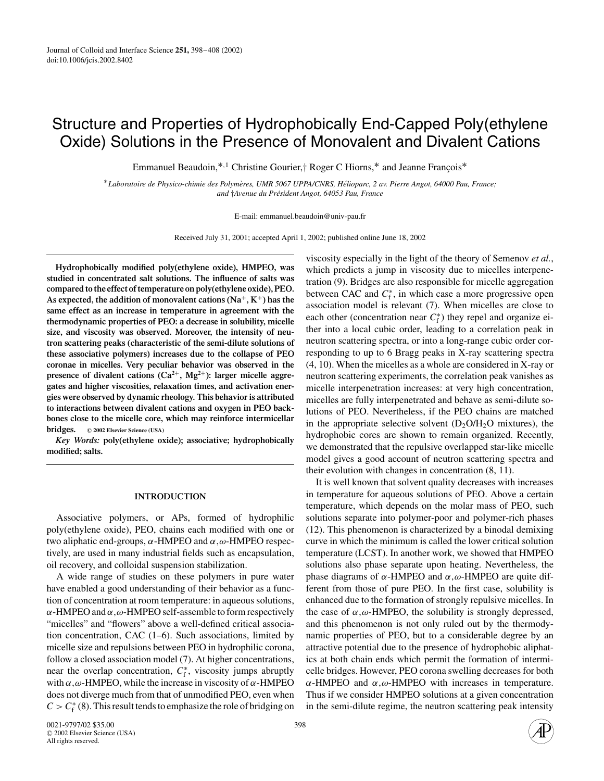# Structure and Properties of Hydrophobically End-Capped Poly(ethylene Oxide) Solutions in the Presence of Monovalent and Divalent Cations

Emmanuel Beaudoin,<sup>\*,1</sup> Christine Gourier,† Roger C Hiorns,<sup>\*</sup> and Jeanne François<sup>\*</sup>

∗*Laboratoire de Physico-chimie des Polymeres, UMR 5067 UPPA/CNRS, H ` elioparc, 2 av. Pierre Angot, 64000 Pau, France; ´ and* †*Avenue du President Angot, 64053 Pau, France ´*

E-mail: emmanuel.beaudoin@univ-pau.fr

Received July 31, 2001; accepted April 1, 2002; published online June 18, 2002

**Hydrophobically modified poly(ethylene oxide), HMPEO, was studied in concentrated salt solutions. The influence of salts was compared to the effect of temperature on poly(ethylene oxide), PEO. As expected, the addition of monovalent cations (Na**+**, K**+**) has the same effect as an increase in temperature in agreement with the thermodynamic properties of PEO: a decrease in solubility, micelle size, and viscosity was observed. Moreover, the intensity of neutron scattering peaks (characteristic of the semi-dilute solutions of these associative polymers) increases due to the collapse of PEO coronae in micelles. Very peculiar behavior was observed in the presence of divalent cations**  $(Ca^{2+}, Mg^{2+})$ **: larger micelle aggregates and higher viscosities, relaxation times, and activation energies were observed by dynamic rheology. This behavior is attributed to interactions between divalent cations and oxygen in PEO backbones close to the micelle core, which may reinforce intermicellar bridges. <sup>C</sup> 2002 Elsevier Science (USA)**

*Key Words:* **poly(ethylene oxide); associative; hydrophobically modified; salts.**

## **INTRODUCTION**

Associative polymers, or APs, formed of hydrophilic poly(ethylene oxide), PEO, chains each modified with one or two aliphatic end-groups,  $\alpha$ -HMPEO and  $\alpha$ ,  $\omega$ -HMPEO respectively, are used in many industrial fields such as encapsulation, oil recovery, and colloidal suspension stabilization.

A wide range of studies on these polymers in pure water have enabled a good understanding of their behavior as a function of concentration at room temperature: in aqueous solutions,  $\alpha$ -HMPEO and  $\alpha$ ,  $\omega$ -HMPEO self-assemble to form respectively "micelles" and "flowers" above a well-defined critical association concentration, CAC (1–6). Such associations, limited by micelle size and repulsions between PEO in hydrophilic corona, follow a closed association model (7). At higher concentrations, near the overlap concentration,  $C_f^*$ , viscosity jumps abruptly with  $\alpha, \omega$ -HMPEO, while the increase in viscosity of  $\alpha$ -HMPEO does not diverge much from that of unmodified PEO, even when  $C > C_f^*$  (8). This result tends to emphasize the role of bridging on

viscosity especially in the light of the theory of Semenov *et al.*, which predicts a jump in viscosity due to micelles interpenetration (9). Bridges are also responsible for micelle aggregation between CAC and  $C_f^*$ , in which case a more progressive open association model is relevant (7). When micelles are close to each other (concentration near  $C_f^*$ ) they repel and organize either into a local cubic order, leading to a correlation peak in neutron scattering spectra, or into a long-range cubic order corresponding to up to 6 Bragg peaks in X-ray scattering spectra (4, 10). When the micelles as a whole are considered in X-ray or neutron scattering experiments, the correlation peak vanishes as micelle interpenetration increases: at very high concentration, micelles are fully interpenetrated and behave as semi-dilute solutions of PEO. Nevertheless, if the PEO chains are matched in the appropriate selective solvent  $(D_2O/H_2O)$  mixtures), the hydrophobic cores are shown to remain organized. Recently, we demonstrated that the repulsive overlapped star-like micelle model gives a good account of neutron scattering spectra and their evolution with changes in concentration (8, 11).

It is well known that solvent quality decreases with increases in temperature for aqueous solutions of PEO. Above a certain temperature, which depends on the molar mass of PEO, such solutions separate into polymer-poor and polymer-rich phases (12). This phenomenon is characterized by a binodal demixing curve in which the minimum is called the lower critical solution temperature (LCST). In another work, we showed that HMPEO solutions also phase separate upon heating. Nevertheless, the phase diagrams of  $α$ -HMPEO and  $α, ω$ -HMPEO are quite different from those of pure PEO. In the first case, solubility is enhanced due to the formation of strongly repulsive micelles. In the case of  $\alpha, \omega$ -HMPEO, the solubility is strongly depressed, and this phenomenon is not only ruled out by the thermodynamic properties of PEO, but to a considerable degree by an attractive potential due to the presence of hydrophobic aliphatics at both chain ends which permit the formation of intermicelle bridges. However, PEO corona swelling decreases for both α-HMPEO and α,ω-HMPEO with increases in temperature. Thus if we consider HMPEO solutions at a given concentration in the semi-dilute regime, the neutron scattering peak intensity

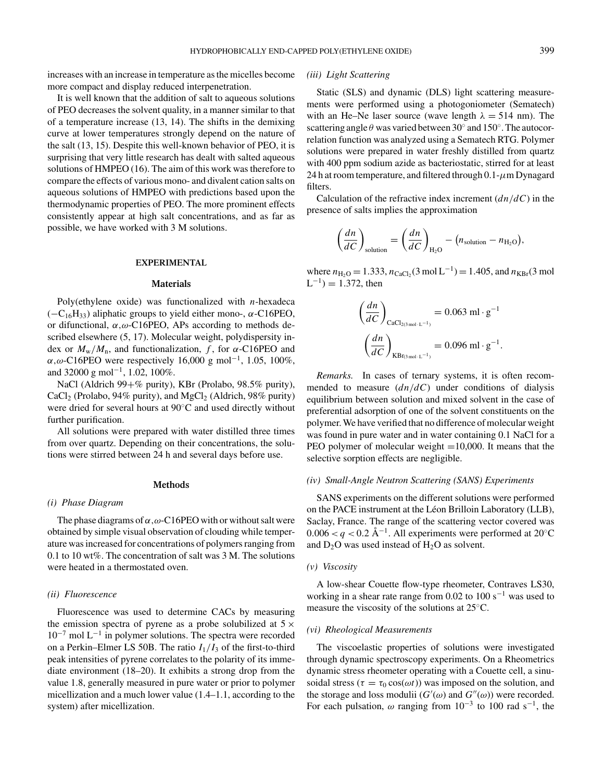increases with an increase in temperature as the micelles become more compact and display reduced interpenetration.

It is well known that the addition of salt to aqueous solutions of PEO decreases the solvent quality, in a manner similar to that of a temperature increase (13, 14). The shifts in the demixing curve at lower temperatures strongly depend on the nature of the salt (13, 15). Despite this well-known behavior of PEO, it is surprising that very little research has dealt with salted aqueous solutions of HMPEO (16). The aim of this work was therefore to compare the effects of various mono- and divalent cation salts on aqueous solutions of HMPEO with predictions based upon the thermodynamic properties of PEO. The more prominent effects consistently appear at high salt concentrations, and as far as possible, we have worked with 3 M solutions.

#### **EXPERIMENTAL**

## **Materials**

Poly(ethylene oxide) was functionalized with *n*-hexadeca  $(-C_{16}H_{33})$  aliphatic groups to yield either mono-,  $\alpha$ -C16PEO, or difunctional,  $\alpha, \omega$ -C16PEO, APs according to methods described elsewhere (5, 17). Molecular weight, polydispersity index or  $M_{\rm w}/M_{\rm n}$ , and functionalization, f, for  $\alpha$ -C16PEO and  $\alpha, \omega$ -C16PEO were respectively 16,000 g mol<sup>-1</sup>, 1.05, 100%, and 32000 g mol<sup>-1</sup>, 1.02, 100%.

NaCl (Aldrich 99+% purity), KBr (Prolabo, 98.5% purity),  $CaCl<sub>2</sub>$  (Prolabo, 94% purity), and MgCl<sub>2</sub> (Aldrich, 98% purity) were dried for several hours at 90◦C and used directly without further purification.

All solutions were prepared with water distilled three times from over quartz. Depending on their concentrations, the solutions were stirred between 24 h and several days before use.

# **Methods**

#### *(i) Phase Diagram*

The phase diagrams of  $\alpha, \omega$ -C16PEO with or without salt were obtained by simple visual observation of clouding while temperature was increased for concentrations of polymers ranging from 0.1 to 10 wt%. The concentration of salt was 3 M. The solutions were heated in a thermostated oven.

# *(ii) Fluorescence*

Fluorescence was used to determine CACs by measuring the emission spectra of pyrene as a probe solubilized at  $5 \times$  $10^{-7}$  mol L<sup>-1</sup> in polymer solutions. The spectra were recorded on a Perkin–Elmer LS 50B. The ratio  $I_1/I_3$  of the first-to-third peak intensities of pyrene correlates to the polarity of its immediate environment (18–20). It exhibits a strong drop from the value 1.8, generally measured in pure water or prior to polymer micellization and a much lower value (1.4–1.1, according to the system) after micellization.

# *(iii) Light Scattering*

Static (SLS) and dynamic (DLS) light scattering measurements were performed using a photogoniometer (Sematech) with an He–Ne laser source (wave length  $\lambda = 514$  nm). The scattering angle  $\theta$  was varied between 30 $\degree$  and 150 $\degree$ . The autocorrelation function was analyzed using a Sematech RTG. Polymer solutions were prepared in water freshly distilled from quartz with 400 ppm sodium azide as bacteriostatic, stirred for at least 24 h at room temperature, and filtered through  $0.1-\mu$ m Dynagard filters.

Calculation of the refractive index increment (*dn*/*dC*) in the presence of salts implies the approximation

$$
\left(\frac{dn}{dC}\right)_{\text{solution}} = \left(\frac{dn}{dC}\right)_{\text{H}_2\text{O}} - \left(n_{\text{solution}} - n_{\text{H}_2\text{O}}\right),
$$

where  $n_{\text{H}_2\text{O}} = 1.333$ ,  $n_{\text{CaCl}_2}(3 \text{ mol L}^{-1}) = 1.405$ , and  $n_{\text{KBr}}(3 \text{ mol L})$  $L^{-1}$ ) = 1.372, then

$$
\left(\frac{dn}{dC}\right)_{\text{CaCl}_{2(3\,\text{mol}\cdot\text{L}^{-1})}} = 0.063 \text{ ml} \cdot \text{g}^{-1}
$$

$$
\left(\frac{dn}{dC}\right)_{\text{KBR}(3\,\text{mol}\cdot\text{L}^{-1})} = 0.096 \text{ ml} \cdot \text{g}^{-1}.
$$

*Remarks.* In cases of ternary systems, it is often recommended to measure  $(dn/dC)$  under conditions of dialysis equilibrium between solution and mixed solvent in the case of preferential adsorption of one of the solvent constituents on the polymer. We have verified that no difference of molecular weight was found in pure water and in water containing 0.1 NaCl for a PEO polymer of molecular weight  $=10,000$ . It means that the selective sorption effects are negligible.

# *(iv) Small-Angle Neutron Scattering (SANS) Experiments*

SANS experiments on the different solutions were performed on the PACE instrument at the Léon Brilloin Laboratory (LLB), Saclay, France. The range of the scattering vector covered was  $0.006 < q < 0.2$  Å<sup>-1</sup>. All experiments were performed at 20 $\degree$ C and  $D_2O$  was used instead of  $H_2O$  as solvent.

#### *(v) Viscosity*

A low-shear Couette flow-type rheometer, Contraves LS30, working in a shear rate range from 0.02 to 100 s<sup> $-1$ </sup> was used to measure the viscosity of the solutions at 25◦C.

#### *(vi) Rheological Measurements*

The viscoelastic properties of solutions were investigated through dynamic spectroscopy experiments. On a Rheometrics dynamic stress rheometer operating with a Couette cell, a sinusoidal stress ( $\tau = \tau_0 \cos(\omega t)$ ) was imposed on the solution, and the storage and loss modulii  $(G'(\omega))$  and  $G''(\omega)$ ) were recorded. For each pulsation,  $\omega$  ranging from 10<sup>-3</sup> to 100 rad s<sup>-1</sup>, the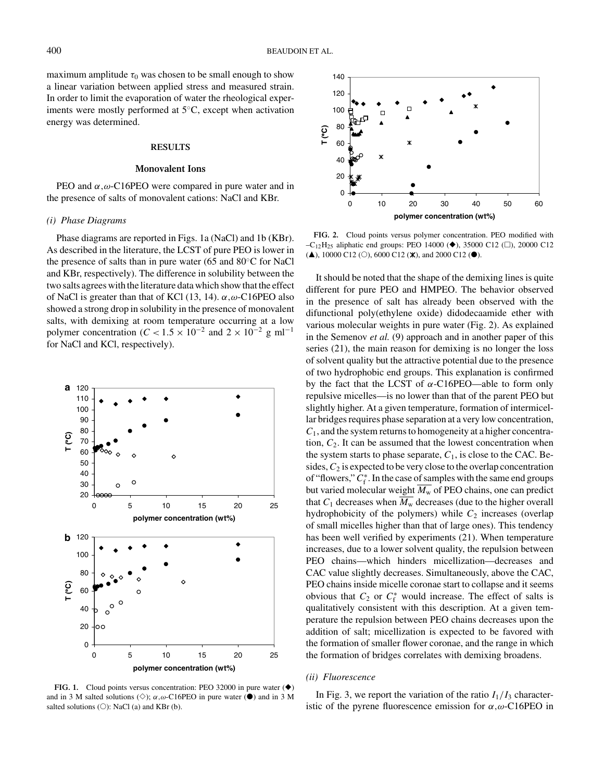maximum amplitude  $\tau_0$  was chosen to be small enough to show a linear variation between applied stress and measured strain. In order to limit the evaporation of water the rheological experiments were mostly performed at 5◦C, except when activation energy was determined.

#### **RESULTS**

# **Monovalent Ions**

PEO and  $\alpha$ , ω-C16PEO were compared in pure water and in the presence of salts of monovalent cations: NaCl and KBr.

# *(i) Phase Diagrams*

Phase diagrams are reported in Figs. 1a (NaCl) and 1b (KBr). As described in the literature, the LCST of pure PEO is lower in the presence of salts than in pure water (65 and 80◦C for NaCl and KBr, respectively). The difference in solubility between the two salts agrees with the literature data which show that the effect of NaCl is greater than that of KCl (13, 14).  $\alpha, \omega$ -C16PEO also showed a strong drop in solubility in the presence of monovalent salts, with demixing at room temperature occurring at a low polymer concentration ( $C < 1.5 \times 10^{-2}$  and  $2 \times 10^{-2}$  g ml<sup>-1</sup> for NaCl and KCl, respectively).



**FIG. 1.** Cloud points versus concentration: PEO 32000 in pure water  $(\triangle)$ and in 3 M salted solutions ( $\Diamond$ );  $\alpha, \omega$ -C16PEO in pure water ( $\bullet$ ) and in 3 M salted solutions ( $\circlearrowright$ ): NaCl (a) and KBr (b).



**FIG. 2.** Cloud points versus polymer concentration. PEO modified with  $-C_{12}H_{25}$  aliphatic end groups: PEO 14000 ( $\blacklozenge$ ), 35000 C12 ( $\square$ ), 20000 C12  $(\triangle)$ , 10000 C12 (O), 6000 C12 ( $\mathbb{X}$ ), and 2000 C12 ( $\bullet$ ).

It should be noted that the shape of the demixing lines is quite different for pure PEO and HMPEO. The behavior observed in the presence of salt has already been observed with the difunctional poly(ethylene oxide) didodecaamide ether with various molecular weights in pure water (Fig. 2). As explained in the Semenov *et al.* (9) approach and in another paper of this series (21), the main reason for demixing is no longer the loss of solvent quality but the attractive potential due to the presence of two hydrophobic end groups. This explanation is confirmed by the fact that the LCST of  $\alpha$ -C16PEO—able to form only repulsive micelles—is no lower than that of the parent PEO but slightly higher. At a given temperature, formation of intermicellar bridges requires phase separation at a very low concentration, *C*1, and the system returns to homogeneity at a higher concentration,  $C_2$ . It can be assumed that the lowest concentration when the system starts to phase separate,  $C_1$ , is close to the CAC. Besides,  $C_2$  is expected to be very close to the overlap concentration of "flowers,"  $C_f^*$ . In the case of samples with the same end groups but varied molecular weight  $\overline{M_{\rm w}}$  of PEO chains, one can predict that  $C_1$  decreases when  $\overline{M_w}$  decreases (due to the higher overall hydrophobicity of the polymers) while  $C_2$  increases (overlap of small micelles higher than that of large ones). This tendency has been well verified by experiments (21). When temperature increases, due to a lower solvent quality, the repulsion between PEO chains—which hinders micellization—decreases and CAC value slightly decreases. Simultaneously, above the CAC, PEO chains inside micelle coronae start to collapse and it seems obvious that  $C_2$  or  $C_f^*$  would increase. The effect of salts is qualitatively consistent with this description. At a given temperature the repulsion between PEO chains decreases upon the addition of salt; micellization is expected to be favored with the formation of smaller flower coronae, and the range in which the formation of bridges correlates with demixing broadens.

#### *(ii) Fluorescence*

In Fig. 3, we report the variation of the ratio  $I_1/I_3$  characteristic of the pyrene fluorescence emission for  $\alpha, \omega$ -C16PEO in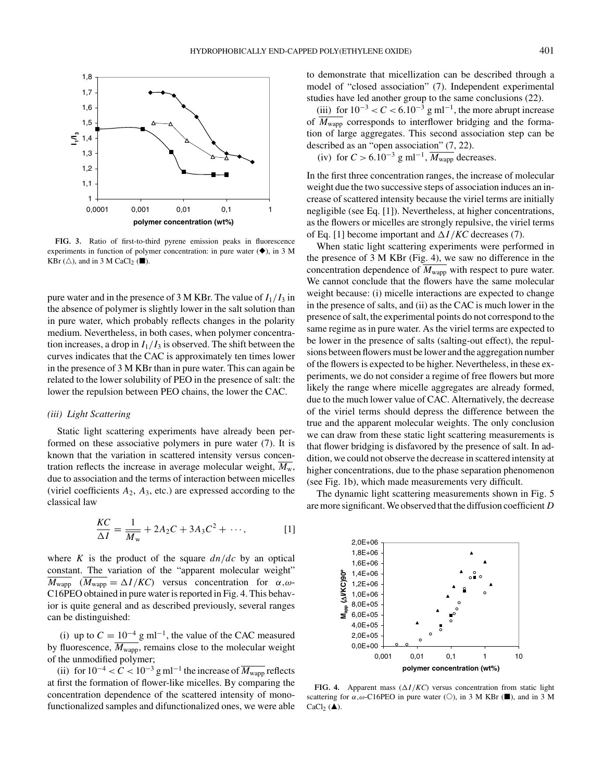

**FIG. 3.** Ratio of first-to-third pyrene emission peaks in fluorescence experiments in function of polymer concentration: in pure water  $(\blacklozenge)$ , in 3 M KBr ( $\triangle$ ), and in 3 M CaCl<sub>2</sub> ( $\blacksquare$ ).

pure water and in the presence of 3 M KBr. The value of  $I_1/I_3$  in the absence of polymer is slightly lower in the salt solution than in pure water, which probably reflects changes in the polarity medium. Nevertheless, in both cases, when polymer concentration increases, a drop in  $I_1/I_3$  is observed. The shift between the curves indicates that the CAC is approximately ten times lower in the presence of 3 M KBr than in pure water. This can again be related to the lower solubility of PEO in the presence of salt: the lower the repulsion between PEO chains, the lower the CAC.

# *(iii) Light Scattering*

Static light scattering experiments have already been performed on these associative polymers in pure water (7). It is known that the variation in scattered intensity versus concentration reflects the increase in average molecular weight,  $\overline{M_{\rm w}}$ , due to association and the terms of interaction between micelles (viriel coefficients  $A_2$ ,  $A_3$ , etc.) are expressed according to the classical law

$$
\frac{KC}{\Delta I} = \frac{1}{\overline{M}_{\rm w}} + 2A_2C + 3A_3C^2 + \cdots,
$$
 [1]

where *K* is the product of the square *dn*/*dc* by an optical constant. The variation of the "apparent molecular weight"  $\overline{M_{\text{wapp}}}$  ( $\overline{M_{\text{wapp}}} = \Delta I/KC$ ) versus concentration for  $\alpha, \omega$ -C16PEO obtained in pure water is reported in Fig. 4. This behavior is quite general and as described previously, several ranges can be distinguished:

(i) up to  $C = 10^{-4}$  g ml<sup>-1</sup>, the value of the CAC measured by fluorescence,  $M_{\text{wapp}}$ , remains close to the molecular weight of the unmodified polymer;

(ii) for  $10^{-4} < C < 10^{-3}$  g ml<sup>-1</sup> the increase of  $\overline{M_{\text{wapp}}}$  reflects at first the formation of flower-like micelles. By comparing the concentration dependence of the scattered intensity of monofunctionalized samples and difunctionalized ones, we were able to demonstrate that micellization can be described through a model of "closed association" (7). Independent experimental studies have led another group to the same conclusions (22).

(iii) for  $10^{-3} < C < 6.10^{-3}$  g ml<sup>-1</sup>, the more abrupt increase of  $\overline{M_{\text{wapp}}}$  corresponds to interflower bridging and the formation of large aggregates. This second association step can be described as an "open association" (7, 22).

(iv) for  $C > 6.10^{-3}$  g ml<sup>-1</sup>,  $\overline{M_{\text{wapp}}}$  decreases.

In the first three concentration ranges, the increase of molecular weight due the two successive steps of association induces an increase of scattered intensity because the viriel terms are initially negligible (see Eq. [1]). Nevertheless, at higher concentrations, as the flowers or micelles are strongly repulsive, the viriel terms of Eq. [1] become important and  $\Delta I/KC$  decreases (7).

When static light scattering experiments were performed in the presence of 3 M KBr (Fig. 4), we saw no difference in the concentration dependence of  $\overline{M_{\text{wapp}}}$  with respect to pure water. We cannot conclude that the flowers have the same molecular weight because: (i) micelle interactions are expected to change in the presence of salts, and (ii) as the CAC is much lower in the presence of salt, the experimental points do not correspond to the same regime as in pure water. As the viriel terms are expected to be lower in the presence of salts (salting-out effect), the repulsions between flowers must be lower and the aggregation number of the flowers is expected to be higher. Nevertheless, in these experiments, we do not consider a regime of free flowers but more likely the range where micelle aggregates are already formed, due to the much lower value of CAC. Alternatively, the decrease of the viriel terms should depress the difference between the true and the apparent molecular weights. The only conclusion we can draw from these static light scattering measurements is that flower bridging is disfavored by the presence of salt. In addition, we could not observe the decrease in scattered intensity at higher concentrations, due to the phase separation phenomenon (see Fig. 1b), which made measurements very difficult.

The dynamic light scattering measurements shown in Fig. 5 are more significant. We observed that the diffusion coefficient *D*



**FIG. 4.** Apparent mass  $(\Delta I/KC)$  versus concentration from static light scattering for  $\alpha, \omega$ -C16PEO in pure water (O), in 3 M KBr ( $\blacksquare$ ), and in 3 M CaCl<sub>2</sub> ( $\triangle$ ).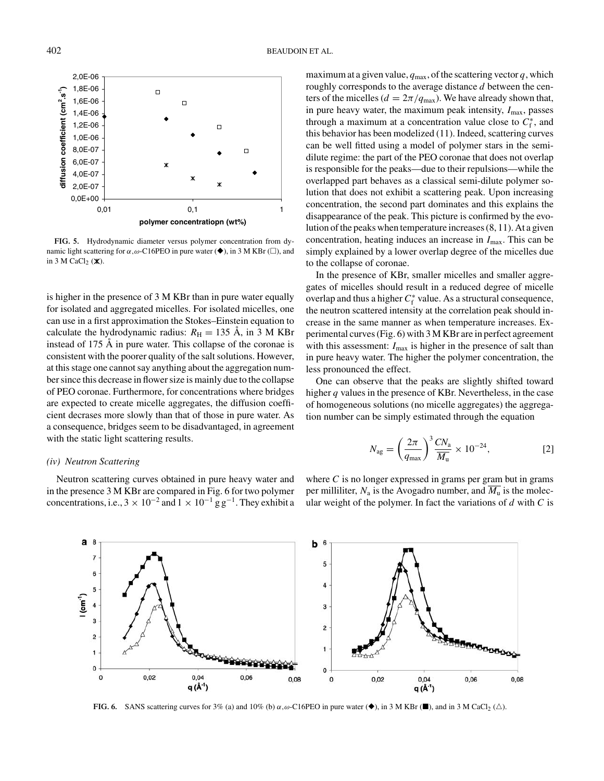

**FIG. 5.** Hydrodynamic diameter versus polymer concentration from dynamic light scattering for  $\alpha, \omega$ -C16PEO in pure water ( $\blacklozenge$ ), in 3 M KBr ( $\Box$ ), and in 3 M CaCl $_2$  ( $\mathsf{X}$ ).

is higher in the presence of 3 M KBr than in pure water equally for isolated and aggregated micelles. For isolated micelles, one can use in a first approximation the Stokes–Einstein equation to calculate the hydrodynamic radius:  $R_H = 135$  Å, in 3 M KBr instead of  $175 \text{ Å}$  in pure water. This collapse of the coronae is consistent with the poorer quality of the salt solutions. However, at this stage one cannot say anything about the aggregation number since this decrease in flower size is mainly due to the collapse of PEO coronae. Furthermore, for concentrations where bridges are expected to create micelle aggregates, the diffusion coefficient decrases more slowly than that of those in pure water. As a consequence, bridges seem to be disadvantaged, in agreement with the static light scattering results.

# *(iv) Neutron Scattering*

Neutron scattering curves obtained in pure heavy water and in the presence 3 M KBr are compared in Fig. 6 for two polymer concentrations, i.e.,  $3 \times 10^{-2}$  and  $1 \times 10^{-1}$  g g<sup>-1</sup>. They exhibit a

maximum at a given value,  $q_{\text{max}}$ , of the scattering vector q, which roughly corresponds to the average distance *d* between the centers of the micelles ( $d = 2\pi / q_{\text{max}}$ ). We have already shown that, in pure heavy water, the maximum peak intensity,  $I_{\text{max}}$ , passes through a maximum at a concentration value close to  $C_f^*$ , and this behavior has been modelized (11). Indeed, scattering curves can be well fitted using a model of polymer stars in the semidilute regime: the part of the PEO coronae that does not overlap is responsible for the peaks—due to their repulsions—while the overlapped part behaves as a classical semi-dilute polymer solution that does not exhibit a scattering peak. Upon increasing concentration, the second part dominates and this explains the disappearance of the peak. This picture is confirmed by the evolution of the peaks when temperature increases (8, 11). At a given concentration, heating induces an increase in  $I_{\text{max}}$ . This can be simply explained by a lower overlap degree of the micelles due to the collapse of coronae.

In the presence of KBr, smaller micelles and smaller aggregates of micelles should result in a reduced degree of micelle overlap and thus a higher *C*<sup>∗</sup> <sup>f</sup> value. As a structural consequence, the neutron scattered intensity at the correlation peak should increase in the same manner as when temperature increases. Experimental curves (Fig. 6) with 3 M KBr are in perfect agreement with this assessment:  $I_{\text{max}}$  is higher in the presence of salt than in pure heavy water. The higher the polymer concentration, the less pronounced the effect.

One can observe that the peaks are slightly shifted toward higher *q* values in the presence of KBr. Nevertheless, in the case of homogeneous solutions (no micelle aggregates) the aggregation number can be simply estimated through the equation

$$
N_{\rm ag} = \left(\frac{2\pi}{q_{\rm max}}\right)^3 \frac{CN_{\rm a}}{M_{\rm u}} \times 10^{-24},\tag{2}
$$

where *C* is no longer expressed in grams per gram but in grams per milliliter,  $N_a$  is the Avogadro number, and  $\overline{M_u}$  is the molecular weight of the polymer. In fact the variations of *d* with *C* is

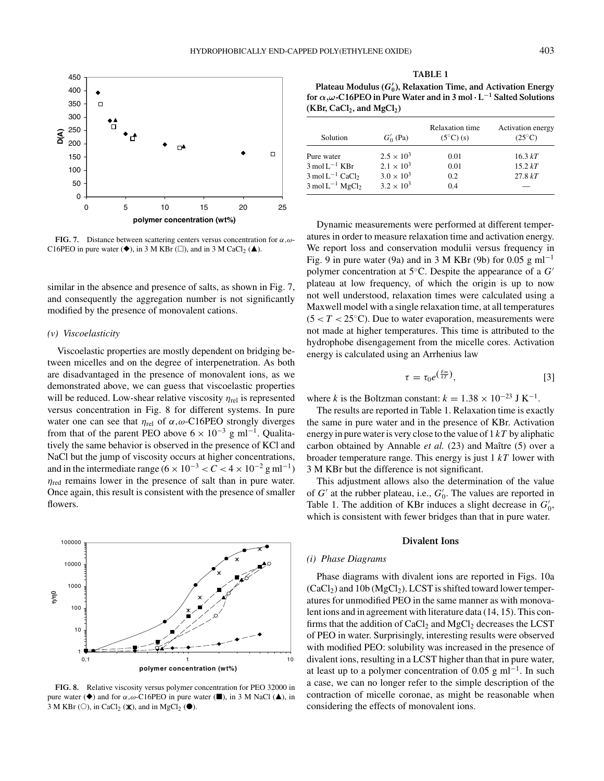

**FIG. 7.** Distance between scattering centers versus concentration for  $\alpha, \omega$ -C16PEO in pure water  $(\blacklozenge)$ , in 3 M KBr ( $\square$ ), and in 3 M CaCl<sub>2</sub> ( $\blacktriangle$ ).

similar in the absence and presence of salts, as shown in Fig. 7, and consequently the aggregation number is not significantly modified by the presence of monovalent cations.

# *(v) Viscoelasticity*

Viscoelastic properties are mostly dependent on bridging between micelles and on the degree of interpenetration. As both are disadvantaged in the presence of monovalent ions, as we demonstrated above, we can guess that viscoelastic properties will be reduced. Low-shear relative viscosity  $\eta_{\text{rel}}$  is represented versus concentration in Fig. 8 for different systems. In pure water one can see that  $\eta_{rel}$  of  $\alpha, \omega$ -C16PEO strongly diverges from that of the parent PEO above  $6 \times 10^{-3}$  g ml<sup>-1</sup>. Qualitatively the same behavior is observed in the presence of KCl and NaCl but the jump of viscosity occurs at higher concentrations, and in the intermediate range ( $6 \times 10^{-3} < C < 4 \times 10^{-2}$  g ml<sup>-1</sup>)  $\eta_{\text{red}}$  remains lower in the presence of salt than in pure water. Once again, this result is consistent with the presence of smaller flowers.



**FIG. 8.** Relative viscosity versus polymer concentration for PEO 32000 in pure water ( $\blacklozenge$ ) and for  $\alpha, \omega$ -C16PEO in pure water ( $\blacksquare$ ), in 3 M NaCl ( $\blacktriangle$ ), in 3 M KBr ( $\circ$ ), in CaCl<sub>2</sub> ( $\mathbb{X}$ ), and in MgCl<sub>2</sub> ( $\bullet$ ).

| $(KBr, CaCl2, and MgCl2)$                |                     |                                             |                                      |
|------------------------------------------|---------------------|---------------------------------------------|--------------------------------------|
| Solution                                 | $G'_{0}$ (Pa)       | <b>Relaxation time</b><br>$(5^{\circ}C)(s)$ | Activation energy<br>$(25^{\circ}C)$ |
| Pure water                               | $2.5 \times 10^3$   | 0.01                                        | 16.3 kT                              |
| $3 \text{ mol} L^{-1}$ KBr               | $2.1 \times 10^3$   | 0.01                                        | 15.2 kT                              |
| $3 \text{ mol} L^{-1}$ CaCl <sub>2</sub> | $3.0 \times 10^{3}$ | 0.2                                         | 27.8 kT                              |
| $3 \text{ mol L}^{-1} \text{ MgCl}_2$    | $3.2 \times 10^{3}$ | 0.4                                         |                                      |

Dynamic measurements were performed at different temperatures in order to measure relaxation time and activation energy. We report loss and conservation modulii versus frequency in Fig. 9 in pure water (9a) and in 3 M KBr (9b) for 0.05 g ml<sup>-1</sup> polymer concentration at 5◦C. Despite the appearance of a *G* plateau at low frequency, of which the origin is up to now not well understood, relaxation times were calculated using a Maxwell model with a single relaxation time, at all temperatures  $(5 < T < 25^{\circ}$ C). Due to water evaporation, measurements were not made at higher temperatures. This time is attributed to the hydrophobe disengagement from the micelle cores. Activation energy is calculated using an Arrhenius law

$$
\tau = \tau_0 e^{\left(\frac{Em}{kT}\right)},\tag{3}
$$

where *k* is the Boltzman constant:  $k = 1.38 \times 10^{-23}$  J K<sup>-1</sup>.

The results are reported in Table 1. Relaxation time is exactly the same in pure water and in the presence of KBr. Activation energy in pure water is very close to the value of 1 *kT* by aliphatic carbon obtained by Annable et al. (23) and Maître (5) over a broader temperature range. This energy is just 1 *kT* lower with 3 M KBr but the difference is not significant.

This adjustment allows also the determination of the value of  $G'$  at the rubber plateau, i.e.,  $G'_0$ . The values are reported in Table 1. The addition of KBr induces a slight decrease in  $G'_0$ , which is consistent with fewer bridges than that in pure water.

## **Divalent Ions**

#### *(i) Phase Diagrams*

Phase diagrams with divalent ions are reported in Figs. 10a  $(CaCl<sub>2</sub>)$  and 10b  $(MgCl<sub>2</sub>)$ . LCST is shifted toward lower temperatures for unmodified PEO in the same manner as with monovalent ions and in agreement with literature data (14, 15). This confirms that the addition of  $CaCl<sub>2</sub>$  and  $MgCl<sub>2</sub>$  decreases the LCST of PEO in water. Surprisingly, interesting results were observed with modified PEO: solubility was increased in the presence of divalent ions, resulting in a LCST higher than that in pure water, at least up to a polymer concentration of 0.05 g ml<sup>-1</sup>. In such a case, we can no longer refer to the simple description of the contraction of micelle coronae, as might be reasonable when considering the effects of monovalent ions.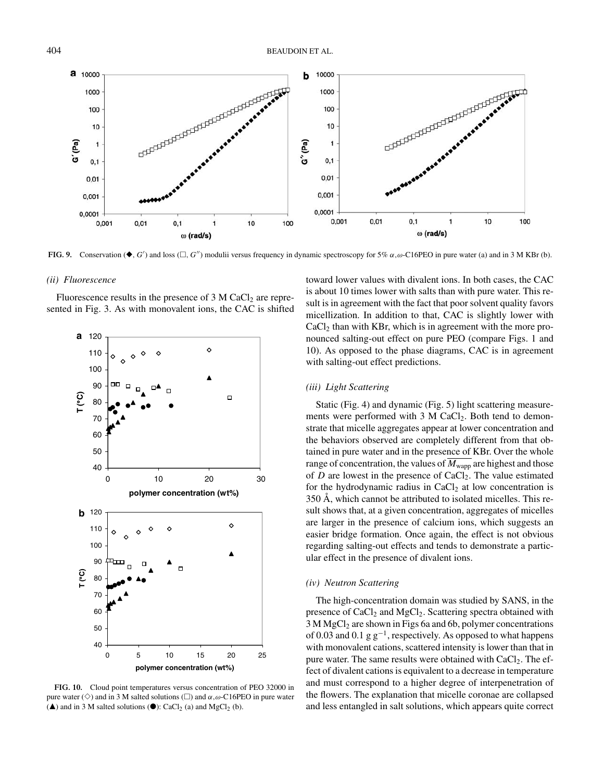

**FIG. 9.** Conservation ( $\blacklozenge$ , *G'*) and loss ( $\Box$ , *G''*) modulii versus frequency in dynamic spectroscopy for 5%  $\alpha$ , $\omega$ -C16PEO in pure water (a) and in 3 M KBr (b).

### *(ii) Fluorescence*

Fluorescence results in the presence of  $3 \text{ M } CaCl<sub>2</sub>$  are represented in Fig. 3. As with monovalent ions, the CAC is shifted



**FIG. 10.** Cloud point temperatures versus concentration of PEO 32000 in pure water ( $\Diamond$ ) and in 3 M salted solutions ( $\Box$ ) and  $\alpha, \omega$ -C16PEO in pure water  $(\triangle)$  and in 3 M salted solutions  $(\triangle)$ : CaCl<sub>2</sub> (a) and MgCl<sub>2</sub> (b).

toward lower values with divalent ions. In both cases, the CAC is about 10 times lower with salts than with pure water. This result is in agreement with the fact that poor solvent quality favors micellization. In addition to that, CAC is slightly lower with CaCl<sub>2</sub> than with KBr, which is in agreement with the more pronounced salting-out effect on pure PEO (compare Figs. 1 and 10). As opposed to the phase diagrams, CAC is in agreement with salting-out effect predictions.

# *(iii) Light Scattering*

Static (Fig. 4) and dynamic (Fig. 5) light scattering measurements were performed with  $3 \text{ M } CaCl<sub>2</sub>$ . Both tend to demonstrate that micelle aggregates appear at lower concentration and the behaviors observed are completely different from that obtained in pure water and in the presence of KBr. Over the whole range of concentration, the values of  $\overline{M_{\text{wapp}}}$  are highest and those of *D* are lowest in the presence of CaCl<sub>2</sub>. The value estimated for the hydrodynamic radius in  $CaCl<sub>2</sub>$  at low concentration is  $350$  Å, which cannot be attributed to isolated micelles. This result shows that, at a given concentration, aggregates of micelles are larger in the presence of calcium ions, which suggests an easier bridge formation. Once again, the effect is not obvious regarding salting-out effects and tends to demonstrate a particular effect in the presence of divalent ions.

#### *(iv) Neutron Scattering*

The high-concentration domain was studied by SANS, in the presence of  $CaCl<sub>2</sub>$  and  $MgCl<sub>2</sub>$ . Scattering spectra obtained with 3 M MgCl<sub>2</sub> are shown in Figs 6a and 6b, polymer concentrations of 0.03 and 0.1 g  $g^{-1}$ , respectively. As opposed to what happens with monovalent cations, scattered intensity is lower than that in pure water. The same results were obtained with  $CaCl<sub>2</sub>$ . The effect of divalent cations is equivalent to a decrease in temperature and must correspond to a higher degree of interpenetration of the flowers. The explanation that micelle coronae are collapsed and less entangled in salt solutions, which appears quite correct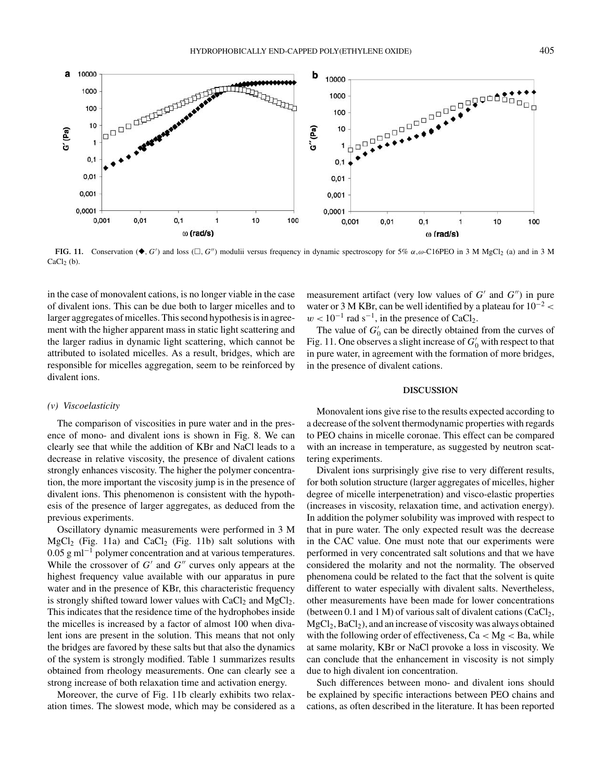

**FIG. 11.** Conservation ( $\bullet$ , *G'*) and loss ( $\Box$ , *G''*) modulii versus frequency in dynamic spectroscopy for 5%  $\alpha$ , $\omega$ -C16PEO in 3 M MgCl<sub>2</sub> (a) and in 3 M  $CaCl<sub>2</sub>(b)$ 

in the case of monovalent cations, is no longer viable in the case of divalent ions. This can be due both to larger micelles and to larger aggregates of micelles. This second hypothesis is in agreement with the higher apparent mass in static light scattering and the larger radius in dynamic light scattering, which cannot be attributed to isolated micelles. As a result, bridges, which are responsible for micelles aggregation, seem to be reinforced by divalent ions.

#### *(v) Viscoelasticity*

The comparison of viscosities in pure water and in the presence of mono- and divalent ions is shown in Fig. 8. We can clearly see that while the addition of KBr and NaCl leads to a decrease in relative viscosity, the presence of divalent cations strongly enhances viscosity. The higher the polymer concentration, the more important the viscosity jump is in the presence of divalent ions. This phenomenon is consistent with the hypothesis of the presence of larger aggregates, as deduced from the previous experiments.

Oscillatory dynamic measurements were performed in 3 M  $MgCl<sub>2</sub>$  (Fig. 11a) and CaCl<sub>2</sub> (Fig. 11b) salt solutions with  $0.05$  g ml<sup>-1</sup> polymer concentration and at various temperatures. While the crossover of  $G'$  and  $G''$  curves only appears at the highest frequency value available with our apparatus in pure water and in the presence of KBr, this characteristic frequency is strongly shifted toward lower values with  $CaCl<sub>2</sub>$  and  $MgCl<sub>2</sub>$ . This indicates that the residence time of the hydrophobes inside the micelles is increased by a factor of almost 100 when divalent ions are present in the solution. This means that not only the bridges are favored by these salts but that also the dynamics of the system is strongly modified. Table 1 summarizes results obtained from rheology measurements. One can clearly see a strong increase of both relaxation time and activation energy.

Moreover, the curve of Fig. 11b clearly exhibits two relaxation times. The slowest mode, which may be considered as a

measurement artifact (very low values of  $G'$  and  $G''$ ) in pure water or 3 M KBr, can be well identified by a plateau for  $10^{-2}$  <  $w < 10^{-1}$  rad s<sup>-1</sup>, in the presence of CaCl<sub>2</sub>.

The value of  $G_0'$  can be directly obtained from the curves of Fig. 11. One observes a slight increase of  $G_0'$  with respect to that in pure water, in agreement with the formation of more bridges, in the presence of divalent cations.

#### **DISCUSSION**

Monovalent ions give rise to the results expected according to a decrease of the solvent thermodynamic properties with regards to PEO chains in micelle coronae. This effect can be compared with an increase in temperature, as suggested by neutron scattering experiments.

Divalent ions surprisingly give rise to very different results, for both solution structure (larger aggregates of micelles, higher degree of micelle interpenetration) and visco-elastic properties (increases in viscosity, relaxation time, and activation energy). In addition the polymer solubility was improved with respect to that in pure water. The only expected result was the decrease in the CAC value. One must note that our experiments were performed in very concentrated salt solutions and that we have considered the molarity and not the normality. The observed phenomena could be related to the fact that the solvent is quite different to water especially with divalent salts. Nevertheless, other measurements have been made for lower concentrations (between 0.1 and 1 M) of various salt of divalent cations (CaCl<sub>2</sub>,  $MgCl<sub>2</sub>, BaCl<sub>2</sub>$ ), and an increase of viscosity was always obtained with the following order of effectiveness,  $Ca < Mg < Ba$ , while at same molarity, KBr or NaCl provoke a loss in viscosity. We can conclude that the enhancement in viscosity is not simply due to high divalent ion concentration.

Such differences between mono- and divalent ions should be explained by specific interactions between PEO chains and cations, as often described in the literature. It has been reported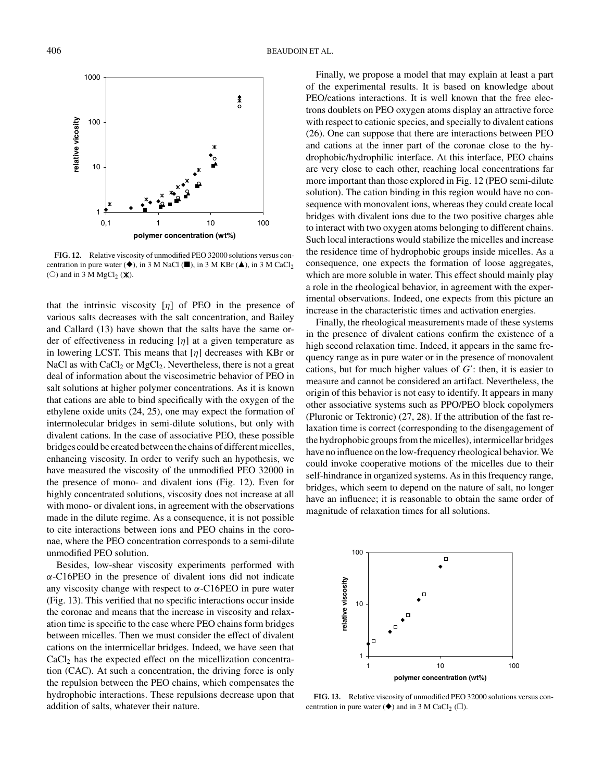

**FIG. 12.** Relative viscosity of unmodified PEO 32000 solutions versus concentration in pure water  $(\blacklozenge)$ , in 3 M NaCl  $(\blacksquare)$ , in 3 M KBr  $(\blacktriangle)$ , in 3 M CaCl<sub>2</sub> ( $\circlearrowright$ ) and in 3 M MgCl<sub>2</sub> ( $\mathsf{X}$ ).

that the intrinsic viscosity  $\lfloor \eta \rfloor$  of PEO in the presence of various salts decreases with the salt concentration, and Bailey and Callard (13) have shown that the salts have the same order of effectiveness in reducing  $\lfloor \eta \rfloor$  at a given temperature as in lowering LCST. This means that  $[\eta]$  decreases with KBr or NaCl as with  $CaCl<sub>2</sub>$  or  $MgCl<sub>2</sub>$ . Nevertheless, there is not a great deal of information about the viscosimetric behavior of PEO in salt solutions at higher polymer concentrations. As it is known that cations are able to bind specifically with the oxygen of the ethylene oxide units (24, 25), one may expect the formation of intermolecular bridges in semi-dilute solutions, but only with divalent cations. In the case of associative PEO, these possible bridges could be created between the chains of different micelles, enhancing viscosity. In order to verify such an hypothesis, we have measured the viscosity of the unmodified PEO 32000 in the presence of mono- and divalent ions (Fig. 12). Even for highly concentrated solutions, viscosity does not increase at all with mono- or divalent ions, in agreement with the observations made in the dilute regime. As a consequence, it is not possible to cite interactions between ions and PEO chains in the coronae, where the PEO concentration corresponds to a semi-dilute unmodified PEO solution.

Besides, low-shear viscosity experiments performed with  $\alpha$ -C16PEO in the presence of divalent ions did not indicate any viscosity change with respect to  $\alpha$ -C16PEO in pure water (Fig. 13). This verified that no specific interactions occur inside the coronae and means that the increase in viscosity and relaxation time is specific to the case where PEO chains form bridges between micelles. Then we must consider the effect of divalent cations on the intermicellar bridges. Indeed, we have seen that  $CaCl<sub>2</sub>$  has the expected effect on the micellization concentration (CAC). At such a concentration, the driving force is only the repulsion between the PEO chains, which compensates the hydrophobic interactions. These repulsions decrease upon that addition of salts, whatever their nature.

Finally, we propose a model that may explain at least a part of the experimental results. It is based on knowledge about PEO/cations interactions. It is well known that the free electrons doublets on PEO oxygen atoms display an attractive force with respect to cationic species, and specially to divalent cations (26). One can suppose that there are interactions between PEO and cations at the inner part of the coronae close to the hydrophobic/hydrophilic interface. At this interface, PEO chains are very close to each other, reaching local concentrations far more important than those explored in Fig. 12 (PEO semi-dilute solution). The cation binding in this region would have no consequence with monovalent ions, whereas they could create local bridges with divalent ions due to the two positive charges able to interact with two oxygen atoms belonging to different chains. Such local interactions would stabilize the micelles and increase the residence time of hydrophobic groups inside micelles. As a consequence, one expects the formation of loose aggregates, which are more soluble in water. This effect should mainly play a role in the rheological behavior, in agreement with the experimental observations. Indeed, one expects from this picture an increase in the characteristic times and activation energies.

Finally, the rheological measurements made of these systems in the presence of divalent cations confirm the existence of a high second relaxation time. Indeed, it appears in the same frequency range as in pure water or in the presence of monovalent cations, but for much higher values of  $G'$ : then, it is easier to measure and cannot be considered an artifact. Nevertheless, the origin of this behavior is not easy to identify. It appears in many other associative systems such as PPO/PEO block copolymers (Pluronic or Tektronic) (27, 28). If the attribution of the fast relaxation time is correct (corresponding to the disengagement of the hydrophobic groups from the micelles), intermicellar bridges have no influence on the low-frequency rheological behavior. We could invoke cooperative motions of the micelles due to their self-hindrance in organized systems. As in this frequency range, bridges, which seem to depend on the nature of salt, no longer have an influence; it is reasonable to obtain the same order of magnitude of relaxation times for all solutions.



**FIG. 13.** Relative viscosity of unmodified PEO 32000 solutions versus concentration in pure water  $(\blacklozenge)$  and in 3 M CaCl<sub>2</sub> ( $\square$ ).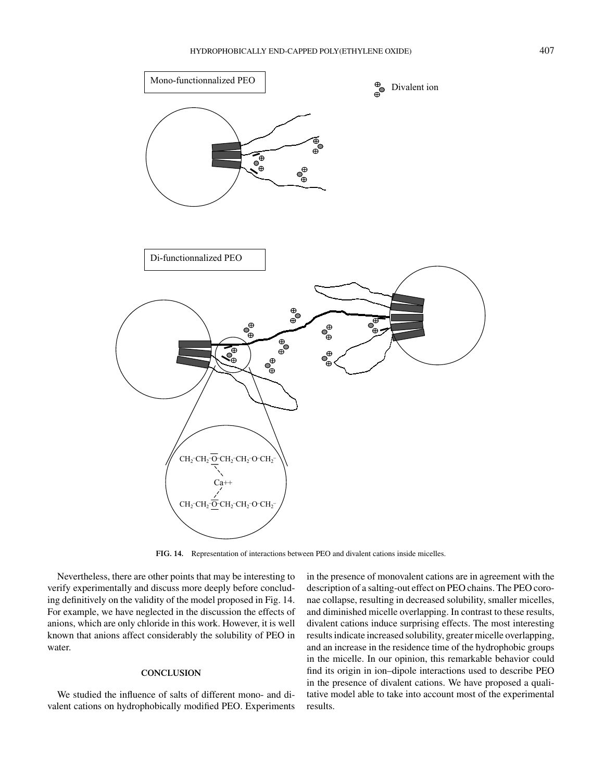

**FIG. 14.** Representation of interactions between PEO and divalent cations inside micelles.

Nevertheless, there are other points that may be interesting to verify experimentally and discuss more deeply before concluding definitively on the validity of the model proposed in Fig. 14. For example, we have neglected in the discussion the effects of anions, which are only chloride in this work. However, it is well known that anions affect considerably the solubility of PEO in water.

# **CONCLUSION**

We studied the influence of salts of different mono- and divalent cations on hydrophobically modified PEO. Experiments

in the presence of monovalent cations are in agreement with the description of a salting-out effect on PEO chains. The PEO coronae collapse, resulting in decreased solubility, smaller micelles, and diminished micelle overlapping. In contrast to these results, divalent cations induce surprising effects. The most interesting results indicate increased solubility, greater micelle overlapping, and an increase in the residence time of the hydrophobic groups in the micelle. In our opinion, this remarkable behavior could find its origin in ion–dipole interactions used to describe PEO in the presence of divalent cations. We have proposed a qualitative model able to take into account most of the experimental results.